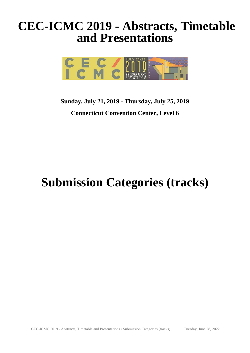## **CEC-ICMC 2019 - Abstracts, Timetable and Presentations**



### **Sunday, July 21, 2019 - Thursday, July 25, 2019 Connecticut Convention Center, Level 6**

# **Submission Categories (tracks)**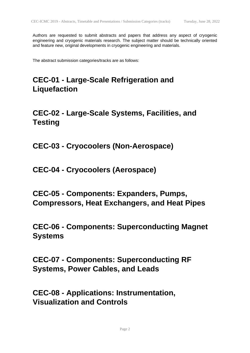Authors are requested to submit abstracts and papers that address any aspect of cryogenic engineering and cryogenic materials research. The subject matter should be technically oriented and feature new, original developments in cryogenic engineering and materials.

The abstract submission categories/tracks are as follows:

#### **CEC-01 - Large-Scale Refrigeration and Liquefaction**

#### **CEC-02 - Large-Scale Systems, Facilities, and Testing**

**CEC-03 - Cryocoolers (Non-Aerospace)**

**CEC-04 - Cryocoolers (Aerospace)**

**CEC-05 - Components: Expanders, Pumps, Compressors, Heat Exchangers, and Heat Pipes**

**CEC-06 - Components: Superconducting Magnet Systems**

**CEC-07 - Components: Superconducting RF Systems, Power Cables, and Leads**

**CEC-08 - Applications: Instrumentation, Visualization and Controls**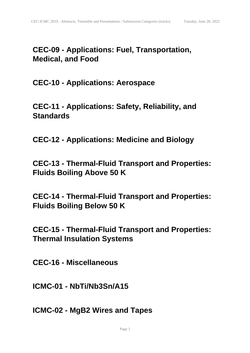#### **CEC-09 - Applications: Fuel, Transportation, Medical, and Food**

**CEC-10 - Applications: Aerospace**

**CEC-11 - Applications: Safety, Reliability, and Standards**

**CEC-12 - Applications: Medicine and Biology**

**CEC-13 - Thermal-Fluid Transport and Properties: Fluids Boiling Above 50 K**

**CEC-14 - Thermal-Fluid Transport and Properties: Fluids Boiling Below 50 K**

**CEC-15 - Thermal-Fluid Transport and Properties: Thermal Insulation Systems**

**CEC-16 - Miscellaneous**

**ICMC-01 - NbTi/Nb3Sn/A15**

**ICMC-02 - MgB2 Wires and Tapes**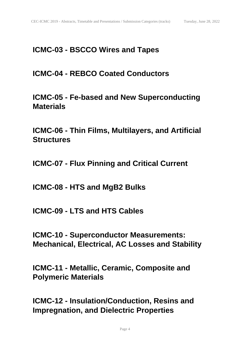#### **ICMC-03 - BSCCO Wires and Tapes**

**ICMC-04 - REBCO Coated Conductors**

**ICMC-05 - Fe-based and New Superconducting Materials**

**ICMC-06 - Thin Films, Multilayers, and Artificial Structures**

**ICMC-07 - Flux Pinning and Critical Current**

**ICMC-08 - HTS and MgB2 Bulks**

**ICMC-09 - LTS and HTS Cables**

**ICMC-10 - Superconductor Measurements: Mechanical, Electrical, AC Losses and Stability**

**ICMC-11 - Metallic, Ceramic, Composite and Polymeric Materials**

**ICMC-12 - Insulation/Conduction, Resins and Impregnation, and Dielectric Properties**